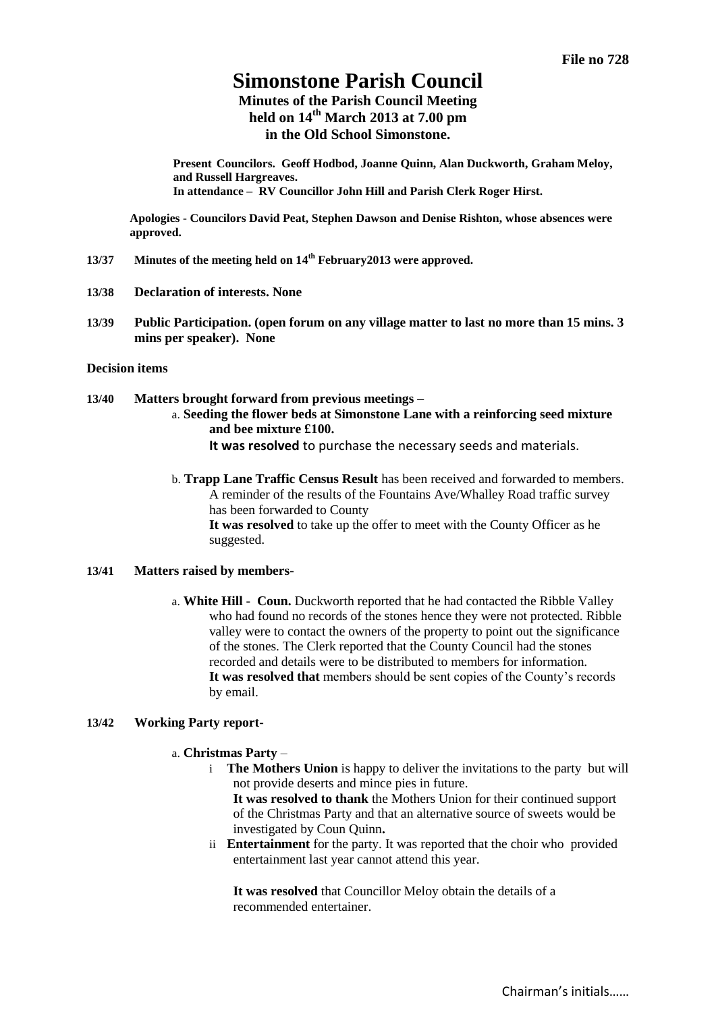# **Simonstone Parish Council**

**Minutes of the Parish Council Meeting held on 14th March 2013 at 7.00 pm in the Old School Simonstone.**

**Present Councilors. Geoff Hodbod, Joanne Quinn, Alan Duckworth, Graham Meloy, and Russell Hargreaves. In attendance – RV Councillor John Hill and Parish Clerk Roger Hirst.** 

**Apologies - Councilors David Peat, Stephen Dawson and Denise Rishton, whose absences were approved.**

- **13/37 Minutes of the meeting held on 14 th February2013 were approved.**
- **13/38 Declaration of interests. None**
- **13/39 Public Participation. (open forum on any village matter to last no more than 15 mins. 3 mins per speaker). None**

### **Decision items**

**13/40 Matters brought forward from previous meetings –**

a. **Seeding the flower beds at Simonstone Lane with a reinforcing seed mixture and bee mixture £100.**

**It was resolved** to purchase the necessary seeds and materials.

b. **Trapp Lane Traffic Census Result** has been received and forwarded to members. A reminder of the results of the Fountains Ave/Whalley Road traffic survey has been forwarded to County **It was resolved** to take up the offer to meet with the County Officer as he suggested.

#### **13/41 Matters raised by members-**

a. **White Hill - Coun.** Duckworth reported that he had contacted the Ribble Valley who had found no records of the stones hence they were not protected. Ribble valley were to contact the owners of the property to point out the significance of the stones. The Clerk reported that the County Council had the stones recorded and details were to be distributed to members for information. **It was resolved that** members should be sent copies of the County's records by email.

### **13/42 Working Party report-**

- a. **Christmas Party**
	- i **The Mothers Union** is happy to deliver the invitations to the party but will not provide deserts and mince pies in future.

**It was resolved to thank** the Mothers Union for their continued support of the Christmas Party and that an alternative source of sweets would be investigated by Coun Quinn**.**

ii **Entertainment** for the party. It was reported that the choir who provided entertainment last year cannot attend this year.

**It was resolved** that Councillor Meloy obtain the details of a recommended entertainer.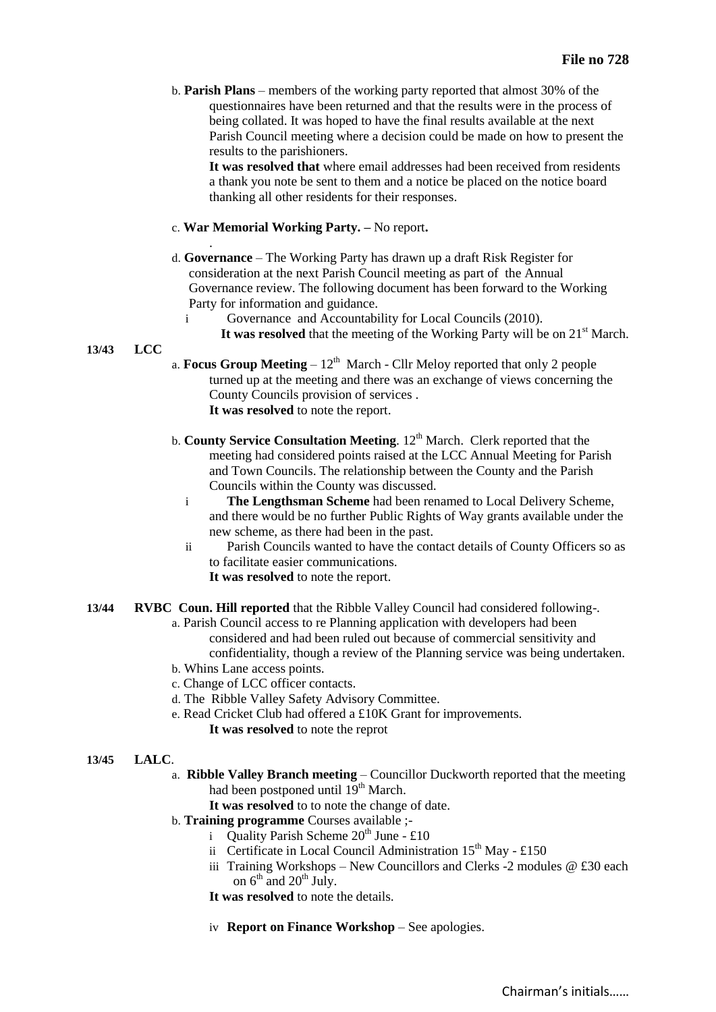b. **Parish Plans** – members of the working party reported that almost 30% of the questionnaires have been returned and that the results were in the process of being collated. It was hoped to have the final results available at the next Parish Council meeting where a decision could be made on how to present the results to the parishioners.

**It was resolved that** where email addresses had been received from residents a thank you note be sent to them and a notice be placed on the notice board thanking all other residents for their responses.

## c. **War Memorial Working Party. –** No report**.**

.

- d. **Governance**  The Working Party has drawn up a draft Risk Register for consideration at the next Parish Council meeting as part of the Annual Governance review. The following document has been forward to the Working Party for information and guidance.
	- i Governance and Accountability for Local Councils (2010).
		- It was resolved that the meeting of the Working Party will be on  $21<sup>st</sup>$  March.

## **13/43 LCC**

- a. **Focus Group Meeting**  $-12<sup>th</sup>$  March Cllr Meloy reported that only 2 people turned up at the meeting and there was an exchange of views concerning the County Councils provision of services . **It was resolved** to note the report.
- b. **County Service Consultation Meeting**. 12<sup>th</sup> March. Clerk reported that the meeting had considered points raised at the LCC Annual Meeting for Parish and Town Councils. The relationship between the County and the Parish Councils within the County was discussed.
	- i **The Lengthsman Scheme** had been renamed to Local Delivery Scheme, and there would be no further Public Rights of Way grants available under the new scheme, as there had been in the past.
	- ii Parish Councils wanted to have the contact details of County Officers so as to facilitate easier communications. **It was resolved** to note the report.
- **13/44 RVBC Coun. Hill reported** that the Ribble Valley Council had considered following-.
	- a. Parish Council access to re Planning application with developers had been considered and had been ruled out because of commercial sensitivity and confidentiality, though a review of the Planning service was being undertaken.
	- b. Whins Lane access points.
	- c. Change of LCC officer contacts.
	- d. The Ribble Valley Safety Advisory Committee.
	- e. Read Cricket Club had offered a £10K Grant for improvements. **It was resolved** to note the reprot

## **13/45 LALC**.

- a. **Ribble Valley Branch meeting** Councillor Duckworth reported that the meeting had been postponed until 19<sup>th</sup> March.
	- **It was resolved** to to note the change of date.
- b. **Training programme** Courses available ;
	- i Quality Parish Scheme  $20^{th}$  June £10
	- ii Certificate in Local Council Administration  $15<sup>th</sup>$  May £150
	- iii Training Workshops New Councillors and Clerks -2 modules  $@$  £30 each on  $6^{th}$  and  $20^{th}$  July.
	- **It was resolved** to note the details.
	- iv **Report on Finance Workshop** See apologies.